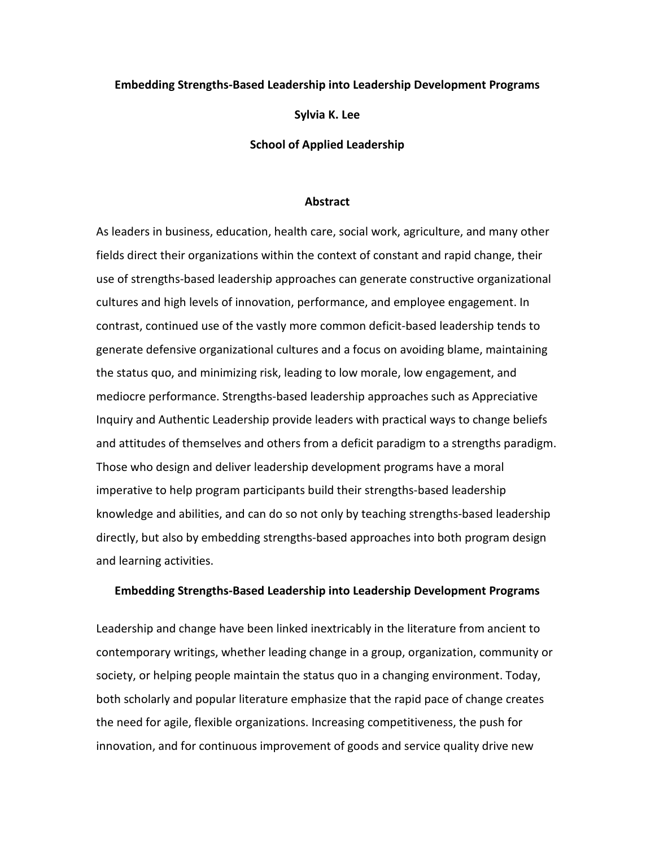### **Embedding Strengths-Based Leadership into Leadership Development Programs**

**Sylvia K. Lee**

**School of Applied Leadership**

#### **Abstract**

As leaders in business, education, health care, social work, agriculture, and many other fields direct their organizations within the context of constant and rapid change, their use of strengths-based leadership approaches can generate constructive organizational cultures and high levels of innovation, performance, and employee engagement. In contrast, continued use of the vastly more common deficit-based leadership tends to generate defensive organizational cultures and a focus on avoiding blame, maintaining the status quo, and minimizing risk, leading to low morale, low engagement, and mediocre performance. Strengths-based leadership approaches such as Appreciative Inquiry and Authentic Leadership provide leaders with practical ways to change beliefs and attitudes of themselves and others from a deficit paradigm to a strengths paradigm. Those who design and deliver leadership development programs have a moral imperative to help program participants build their strengths-based leadership knowledge and abilities, and can do so not only by teaching strengths-based leadership directly, but also by embedding strengths-based approaches into both program design and learning activities.

### **Embedding Strengths-Based Leadership into Leadership Development Programs**

Leadership and change have been linked inextricably in the literature from ancient to contemporary writings, whether leading change in a group, organization, community or society, or helping people maintain the status quo in a changing environment. Today, both scholarly and popular literature emphasize that the rapid pace of change creates the need for agile, flexible organizations. Increasing competitiveness, the push for innovation, and for continuous improvement of goods and service quality drive new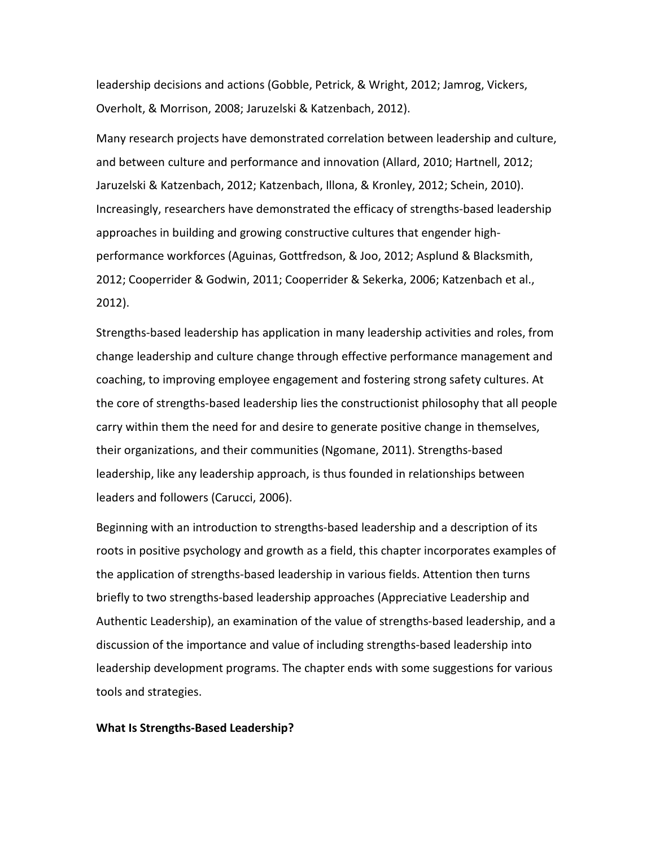leadership decisions and actions (Gobble, Petrick, & Wright, 2012; Jamrog, Vickers, Overholt, & Morrison, 2008; Jaruzelski & Katzenbach, 2012).

Many research projects have demonstrated correlation between leadership and culture, and between culture and performance and innovation (Allard, 2010; Hartnell, 2012; Jaruzelski & Katzenbach, 2012; Katzenbach, Illona, & Kronley, 2012; Schein, 2010). Increasingly, researchers have demonstrated the efficacy of strengths-based leadership approaches in building and growing constructive cultures that engender highperformance workforces (Aguinas, Gottfredson, & Joo, 2012; Asplund & Blacksmith, 2012; Cooperrider & Godwin, 2011; Cooperrider & Sekerka, 2006; Katzenbach et al., 2012).

Strengths-based leadership has application in many leadership activities and roles, from change leadership and culture change through effective performance management and coaching, to improving employee engagement and fostering strong safety cultures. At the core of strengths-based leadership lies the constructionist philosophy that all people carry within them the need for and desire to generate positive change in themselves, their organizations, and their communities (Ngomane, 2011). Strengths-based leadership, like any leadership approach, is thus founded in relationships between leaders and followers (Carucci, 2006).

Beginning with an introduction to strengths-based leadership and a description of its roots in positive psychology and growth as a field, this chapter incorporates examples of the application of strengths-based leadership in various fields. Attention then turns briefly to two strengths-based leadership approaches (Appreciative Leadership and Authentic Leadership), an examination of the value of strengths-based leadership, and a discussion of the importance and value of including strengths-based leadership into leadership development programs. The chapter ends with some suggestions for various tools and strategies.

#### **What Is Strengths-Based Leadership?**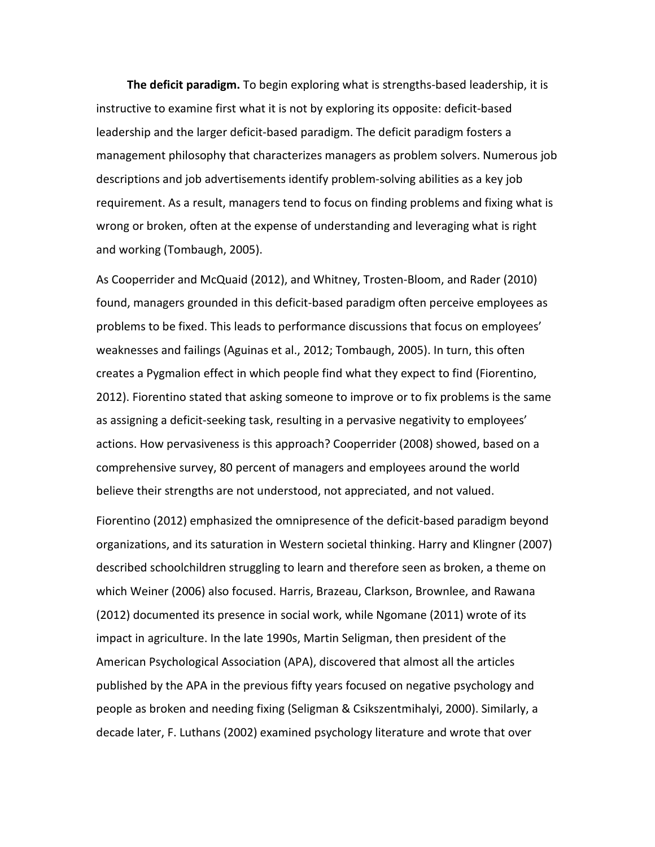**The deficit paradigm.** To begin exploring what is strengths-based leadership, it is instructive to examine first what it is not by exploring its opposite: deficit-based leadership and the larger deficit-based paradigm. The deficit paradigm fosters a management philosophy that characterizes managers as problem solvers. Numerous job descriptions and job advertisements identify problem-solving abilities as a key job requirement. As a result, managers tend to focus on finding problems and fixing what is wrong or broken, often at the expense of understanding and leveraging what is right and working (Tombaugh, 2005).

As Cooperrider and McQuaid (2012), and Whitney, Trosten-Bloom, and Rader (2010) found, managers grounded in this deficit-based paradigm often perceive employees as problems to be fixed. This leads to performance discussions that focus on employees' weaknesses and failings (Aguinas et al., 2012; Tombaugh, 2005). In turn, this often creates a Pygmalion effect in which people find what they expect to find (Fiorentino, 2012). Fiorentino stated that asking someone to improve or to fix problems is the same as assigning a deficit-seeking task, resulting in a pervasive negativity to employees' actions. How pervasiveness is this approach? Cooperrider (2008) showed, based on a comprehensive survey, 80 percent of managers and employees around the world believe their strengths are not understood, not appreciated, and not valued.

Fiorentino (2012) emphasized the omnipresence of the deficit-based paradigm beyond organizations, and its saturation in Western societal thinking. Harry and Klingner (2007) described schoolchildren struggling to learn and therefore seen as broken, a theme on which Weiner (2006) also focused. Harris, Brazeau, Clarkson, Brownlee, and Rawana (2012) documented its presence in social work, while Ngomane (2011) wrote of its impact in agriculture. In the late 1990s, Martin Seligman, then president of the American Psychological Association (APA), discovered that almost all the articles published by the APA in the previous fifty years focused on negative psychology and people as broken and needing fixing (Seligman & Csikszentmihalyi, 2000). Similarly, a decade later, F. Luthans (2002) examined psychology literature and wrote that over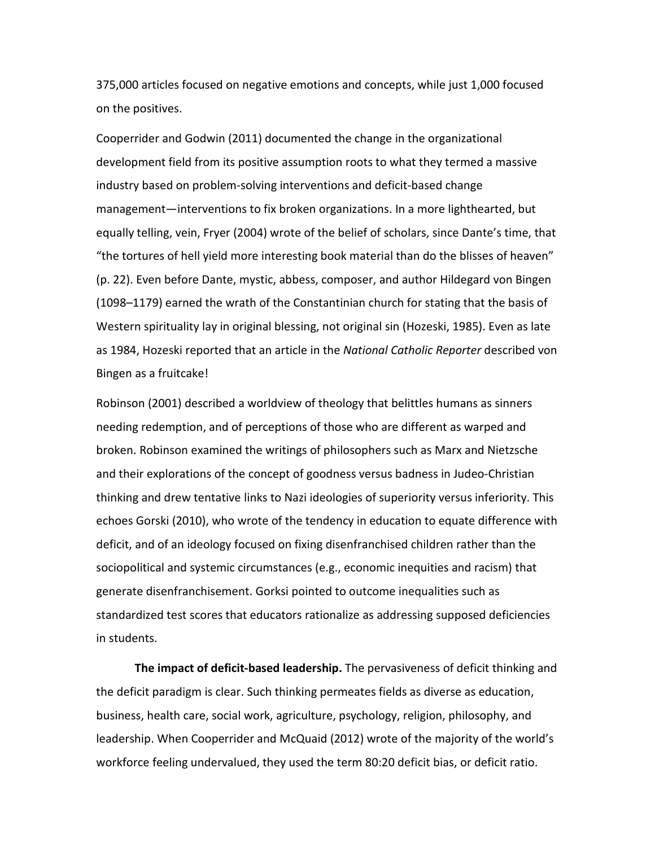375,000 articles focused on negative emotions and concepts, while just 1,000 focused on the positives.

Cooperrider and Godwin (2011) documented the change in the organizational development field from its positive assumption roots to what they termed a massive industry based on problem-solving interventions and deficit-based change management—interventions to fix broken organizations. In a more lighthearted, but equally telling, vein, Fryer (2004) wrote of the belief of scholars, since Dante's time, that "the tortures of hell yield more interesting book material than do the blisses of heaven" (p. 22). Even before Dante, mystic, abbess, composer, and author Hildegard von Bingen (1098–1179) earned the wrath of the Constantinian church for stating that the basis of Western spirituality lay in original blessing, not original sin (Hozeski, 1985). Even as late as 1984, Hozeski reported that an article in the *National Catholic Reporter* described von Bingen as a fruitcake!

Robinson (2001) described a worldview of theology that belittles humans as sinners needing redemption, and of perceptions of those who are different as warped and broken. Robinson examined the writings of philosophers such as Marx and Nietzsche and their explorations of the concept of goodness versus badness in Judeo-Christian thinking and drew tentative links to Nazi ideologies of superiority versus inferiority. This echoes Gorski (2010), who wrote of the tendency in education to equate difference with deficit, and of an ideology focused on fixing disenfranchised children rather than the sociopolitical and systemic circumstances (e.g., economic inequities and racism) that generate disenfranchisement. Gorksi pointed to outcome inequalities such as standardized test scores that educators rationalize as addressing supposed deficiencies in students.

**The impact of deficit-based leadership.** The pervasiveness of deficit thinking and the deficit paradigm is clear. Such thinking permeates fields as diverse as education, business, health care, social work, agriculture, psychology, religion, philosophy, and leadership. When Cooperrider and McQuaid (2012) wrote of the majority of the world's workforce feeling undervalued, they used the term 80:20 deficit bias, or deficit ratio.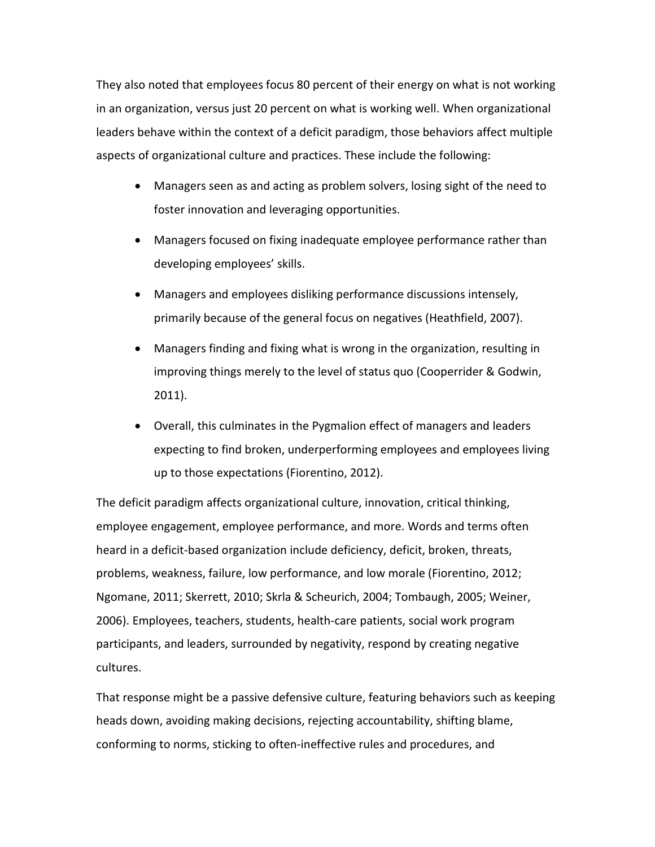They also noted that employees focus 80 percent of their energy on what is not working in an organization, versus just 20 percent on what is working well. When organizational leaders behave within the context of a deficit paradigm, those behaviors affect multiple aspects of organizational culture and practices. These include the following:

- Managers seen as and acting as problem solvers, losing sight of the need to foster innovation and leveraging opportunities.
- Managers focused on fixing inadequate employee performance rather than developing employees' skills.
- Managers and employees disliking performance discussions intensely, primarily because of the general focus on negatives (Heathfield, 2007).
- Managers finding and fixing what is wrong in the organization, resulting in improving things merely to the level of status quo (Cooperrider & Godwin, 2011).
- Overall, this culminates in the Pygmalion effect of managers and leaders expecting to find broken, underperforming employees and employees living up to those expectations (Fiorentino, 2012).

The deficit paradigm affects organizational culture, innovation, critical thinking, employee engagement, employee performance, and more. Words and terms often heard in a deficit-based organization include deficiency, deficit, broken, threats, problems, weakness, failure, low performance, and low morale (Fiorentino, 2012; Ngomane, 2011; Skerrett, 2010; Skrla & Scheurich, 2004; Tombaugh, 2005; Weiner, 2006). Employees, teachers, students, health-care patients, social work program participants, and leaders, surrounded by negativity, respond by creating negative cultures.

That response might be a passive defensive culture, featuring behaviors such as keeping heads down, avoiding making decisions, rejecting accountability, shifting blame, conforming to norms, sticking to often-ineffective rules and procedures, and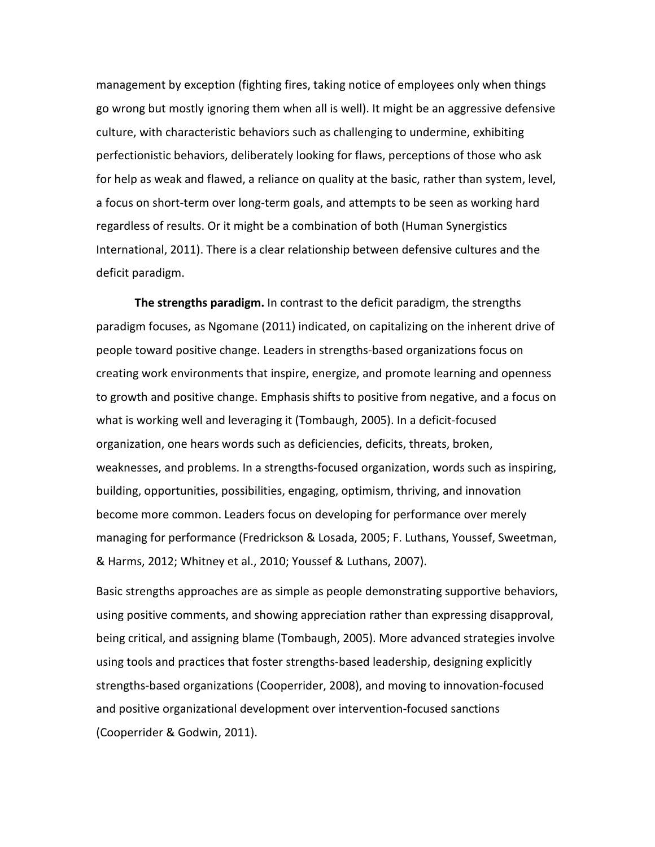management by exception (fighting fires, taking notice of employees only when things go wrong but mostly ignoring them when all is well). It might be an aggressive defensive culture, with characteristic behaviors such as challenging to undermine, exhibiting perfectionistic behaviors, deliberately looking for flaws, perceptions of those who ask for help as weak and flawed, a reliance on quality at the basic, rather than system, level, a focus on short-term over long-term goals, and attempts to be seen as working hard regardless of results. Or it might be a combination of both (Human Synergistics International, 2011). There is a clear relationship between defensive cultures and the deficit paradigm.

**The strengths paradigm.** In contrast to the deficit paradigm, the strengths paradigm focuses, as Ngomane (2011) indicated, on capitalizing on the inherent drive of people toward positive change. Leaders in strengths-based organizations focus on creating work environments that inspire, energize, and promote learning and openness to growth and positive change. Emphasis shifts to positive from negative, and a focus on what is working well and leveraging it (Tombaugh, 2005). In a deficit-focused organization, one hears words such as deficiencies, deficits, threats, broken, weaknesses, and problems. In a strengths-focused organization, words such as inspiring, building, opportunities, possibilities, engaging, optimism, thriving, and innovation become more common. Leaders focus on developing for performance over merely managing for performance (Fredrickson & Losada, 2005; F. Luthans, Youssef, Sweetman, & Harms, 2012; Whitney et al., 2010; Youssef & Luthans, 2007).

Basic strengths approaches are as simple as people demonstrating supportive behaviors, using positive comments, and showing appreciation rather than expressing disapproval, being critical, and assigning blame (Tombaugh, 2005). More advanced strategies involve using tools and practices that foster strengths-based leadership, designing explicitly strengths-based organizations (Cooperrider, 2008), and moving to innovation-focused and positive organizational development over intervention-focused sanctions (Cooperrider & Godwin, 2011).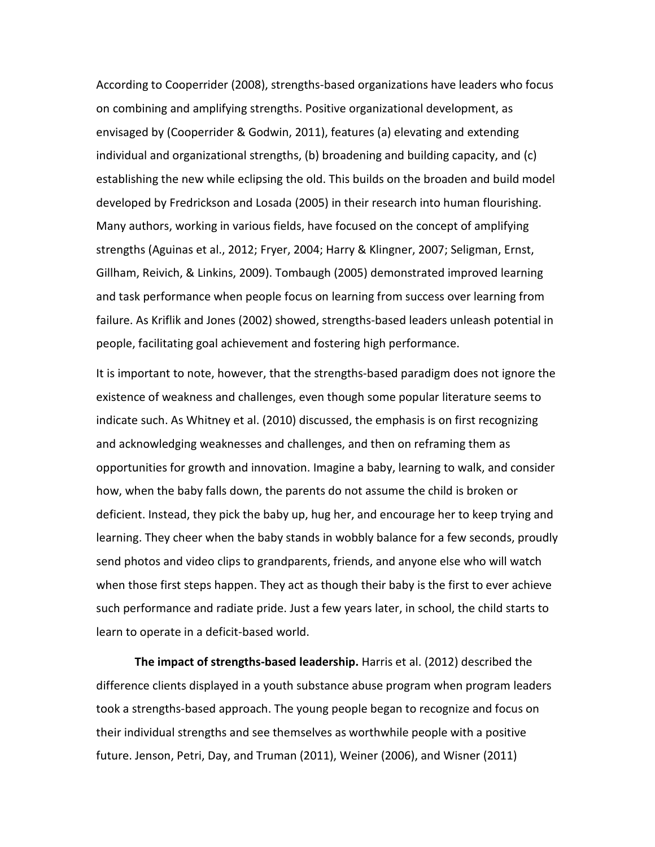According to Cooperrider (2008), strengths-based organizations have leaders who focus on combining and amplifying strengths. Positive organizational development, as envisaged by (Cooperrider & Godwin, 2011), features (a) elevating and extending individual and organizational strengths, (b) broadening and building capacity, and (c) establishing the new while eclipsing the old. This builds on the broaden and build model developed by Fredrickson and Losada (2005) in their research into human flourishing. Many authors, working in various fields, have focused on the concept of amplifying strengths (Aguinas et al., 2012; Fryer, 2004; Harry & Klingner, 2007; Seligman, Ernst, Gillham, Reivich, & Linkins, 2009). Tombaugh (2005) demonstrated improved learning and task performance when people focus on learning from success over learning from failure. As Kriflik and Jones (2002) showed, strengths-based leaders unleash potential in people, facilitating goal achievement and fostering high performance.

It is important to note, however, that the strengths-based paradigm does not ignore the existence of weakness and challenges, even though some popular literature seems to indicate such. As Whitney et al. (2010) discussed, the emphasis is on first recognizing and acknowledging weaknesses and challenges, and then on reframing them as opportunities for growth and innovation. Imagine a baby, learning to walk, and consider how, when the baby falls down, the parents do not assume the child is broken or deficient. Instead, they pick the baby up, hug her, and encourage her to keep trying and learning. They cheer when the baby stands in wobbly balance for a few seconds, proudly send photos and video clips to grandparents, friends, and anyone else who will watch when those first steps happen. They act as though their baby is the first to ever achieve such performance and radiate pride. Just a few years later, in school, the child starts to learn to operate in a deficit-based world.

**The impact of strengths-based leadership.** Harris et al. (2012) described the difference clients displayed in a youth substance abuse program when program leaders took a strengths-based approach. The young people began to recognize and focus on their individual strengths and see themselves as worthwhile people with a positive future. Jenson, Petri, Day, and Truman (2011), Weiner (2006), and Wisner (2011)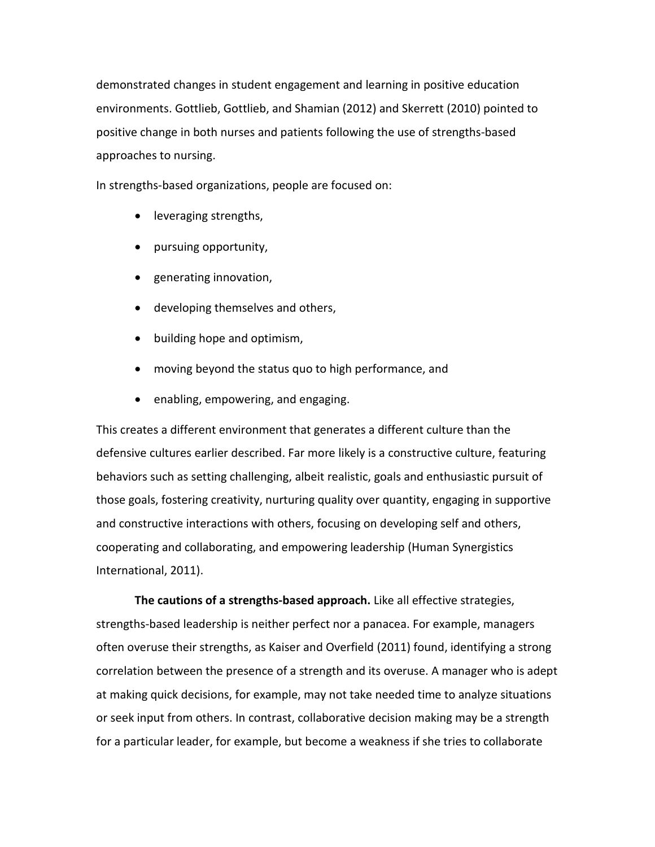demonstrated changes in student engagement and learning in positive education environments. Gottlieb, Gottlieb, and Shamian (2012) and Skerrett (2010) pointed to positive change in both nurses and patients following the use of strengths-based approaches to nursing.

In strengths-based organizations, people are focused on:

- leveraging strengths,
- pursuing opportunity,
- generating innovation,
- developing themselves and others,
- building hope and optimism,
- moving beyond the status quo to high performance, and
- enabling, empowering, and engaging.

This creates a different environment that generates a different culture than the defensive cultures earlier described. Far more likely is a constructive culture, featuring behaviors such as setting challenging, albeit realistic, goals and enthusiastic pursuit of those goals, fostering creativity, nurturing quality over quantity, engaging in supportive and constructive interactions with others, focusing on developing self and others, cooperating and collaborating, and empowering leadership (Human Synergistics International, 2011).

**The cautions of a strengths-based approach.** Like all effective strategies, strengths-based leadership is neither perfect nor a panacea. For example, managers often overuse their strengths, as Kaiser and Overfield (2011) found, identifying a strong correlation between the presence of a strength and its overuse. A manager who is adept at making quick decisions, for example, may not take needed time to analyze situations or seek input from others. In contrast, collaborative decision making may be a strength for a particular leader, for example, but become a weakness if she tries to collaborate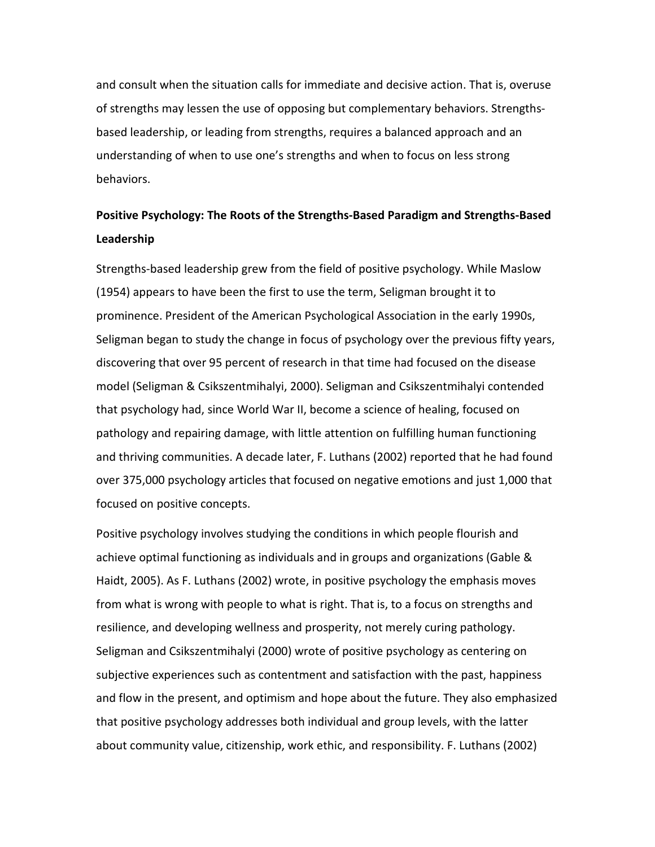and consult when the situation calls for immediate and decisive action. That is, overuse of strengths may lessen the use of opposing but complementary behaviors. Strengthsbased leadership, or leading from strengths, requires a balanced approach and an understanding of when to use one's strengths and when to focus on less strong behaviors.

# **Positive Psychology: The Roots of the Strengths-Based Paradigm and Strengths-Based Leadership**

Strengths-based leadership grew from the field of positive psychology. While Maslow (1954) appears to have been the first to use the term, Seligman brought it to prominence. President of the American Psychological Association in the early 1990s, Seligman began to study the change in focus of psychology over the previous fifty years, discovering that over 95 percent of research in that time had focused on the disease model (Seligman & Csikszentmihalyi, 2000). Seligman and Csikszentmihalyi contended that psychology had, since World War II, become a science of healing, focused on pathology and repairing damage, with little attention on fulfilling human functioning and thriving communities. A decade later, F. Luthans (2002) reported that he had found over 375,000 psychology articles that focused on negative emotions and just 1,000 that focused on positive concepts.

Positive psychology involves studying the conditions in which people flourish and achieve optimal functioning as individuals and in groups and organizations (Gable & Haidt, 2005). As F. Luthans (2002) wrote, in positive psychology the emphasis moves from what is wrong with people to what is right. That is, to a focus on strengths and resilience, and developing wellness and prosperity, not merely curing pathology. Seligman and Csikszentmihalyi (2000) wrote of positive psychology as centering on subjective experiences such as contentment and satisfaction with the past, happiness and flow in the present, and optimism and hope about the future. They also emphasized that positive psychology addresses both individual and group levels, with the latter about community value, citizenship, work ethic, and responsibility. F. Luthans (2002)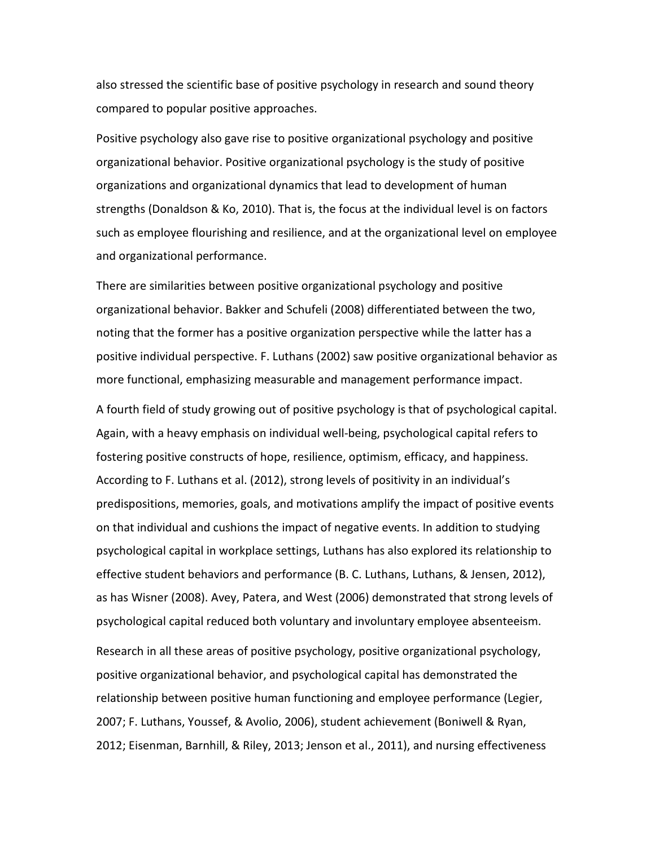also stressed the scientific base of positive psychology in research and sound theory compared to popular positive approaches.

Positive psychology also gave rise to positive organizational psychology and positive organizational behavior. Positive organizational psychology is the study of positive organizations and organizational dynamics that lead to development of human strengths (Donaldson & Ko, 2010). That is, the focus at the individual level is on factors such as employee flourishing and resilience, and at the organizational level on employee and organizational performance.

There are similarities between positive organizational psychology and positive organizational behavior. Bakker and Schufeli (2008) differentiated between the two, noting that the former has a positive organization perspective while the latter has a positive individual perspective. F. Luthans (2002) saw positive organizational behavior as more functional, emphasizing measurable and management performance impact.

A fourth field of study growing out of positive psychology is that of psychological capital. Again, with a heavy emphasis on individual well-being, psychological capital refers to fostering positive constructs of hope, resilience, optimism, efficacy, and happiness. According to F. Luthans et al. (2012), strong levels of positivity in an individual's predispositions, memories, goals, and motivations amplify the impact of positive events on that individual and cushions the impact of negative events. In addition to studying psychological capital in workplace settings, Luthans has also explored its relationship to effective student behaviors and performance (B. C. Luthans, Luthans, & Jensen, 2012), as has Wisner (2008). Avey, Patera, and West (2006) demonstrated that strong levels of psychological capital reduced both voluntary and involuntary employee absenteeism. Research in all these areas of positive psychology, positive organizational psychology, positive organizational behavior, and psychological capital has demonstrated the relationship between positive human functioning and employee performance (Legier, 2007; F. Luthans, Youssef, & Avolio, 2006), student achievement (Boniwell & Ryan, 2012; Eisenman, Barnhill, & Riley, 2013; Jenson et al., 2011), and nursing effectiveness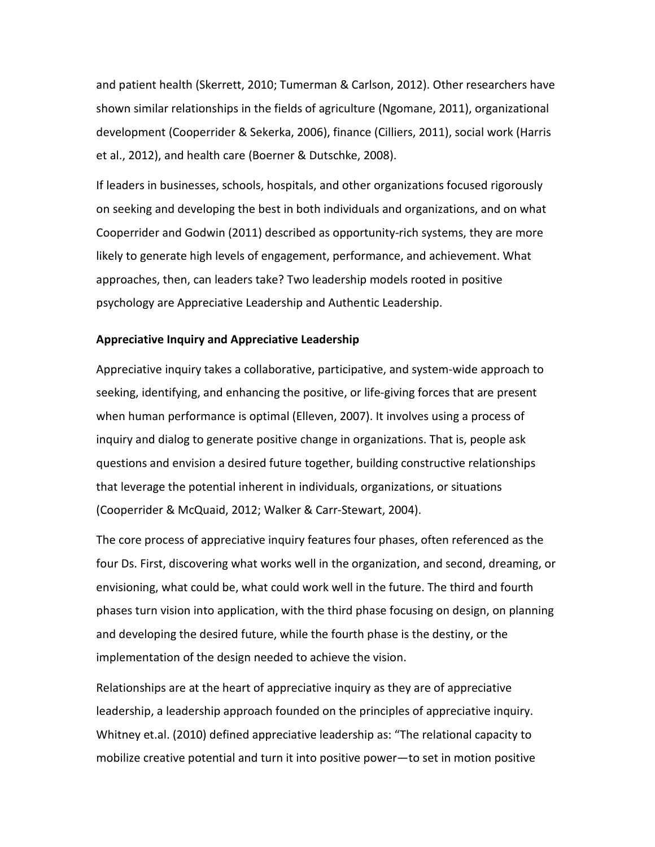and patient health (Skerrett, 2010; Tumerman & Carlson, 2012). Other researchers have shown similar relationships in the fields of agriculture (Ngomane, 2011), organizational development (Cooperrider & Sekerka, 2006), finance (Cilliers, 2011), social work (Harris et al., 2012), and health care (Boerner & Dutschke, 2008).

If leaders in businesses, schools, hospitals, and other organizations focused rigorously on seeking and developing the best in both individuals and organizations, and on what Cooperrider and Godwin (2011) described as opportunity-rich systems, they are more likely to generate high levels of engagement, performance, and achievement. What approaches, then, can leaders take? Two leadership models rooted in positive psychology are Appreciative Leadership and Authentic Leadership.

### **Appreciative Inquiry and Appreciative Leadership**

Appreciative inquiry takes a collaborative, participative, and system-wide approach to seeking, identifying, and enhancing the positive, or life-giving forces that are present when human performance is optimal (Elleven, 2007). It involves using a process of inquiry and dialog to generate positive change in organizations. That is, people ask questions and envision a desired future together, building constructive relationships that leverage the potential inherent in individuals, organizations, or situations (Cooperrider & McQuaid, 2012; Walker & Carr-Stewart, 2004).

The core process of appreciative inquiry features four phases, often referenced as the four Ds. First, discovering what works well in the organization, and second, dreaming, or envisioning, what could be, what could work well in the future. The third and fourth phases turn vision into application, with the third phase focusing on design, on planning and developing the desired future, while the fourth phase is the destiny, or the implementation of the design needed to achieve the vision.

Relationships are at the heart of appreciative inquiry as they are of appreciative leadership, a leadership approach founded on the principles of appreciative inquiry. Whitney et.al. (2010) defined appreciative leadership as: "The relational capacity to mobilize creative potential and turn it into positive power—to set in motion positive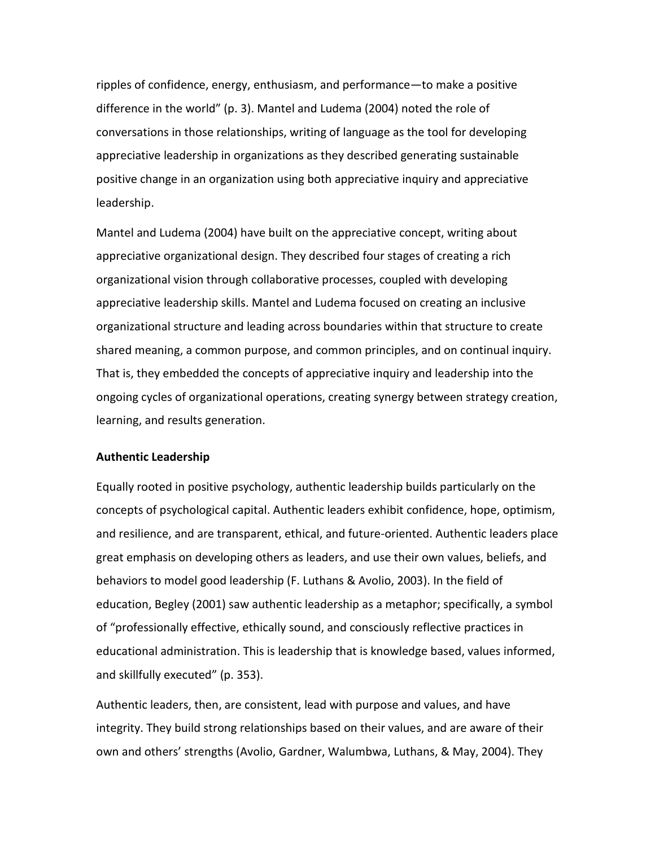ripples of confidence, energy, enthusiasm, and performance—to make a positive difference in the world" (p. 3). Mantel and Ludema (2004) noted the role of conversations in those relationships, writing of language as the tool for developing appreciative leadership in organizations as they described generating sustainable positive change in an organization using both appreciative inquiry and appreciative leadership.

Mantel and Ludema (2004) have built on the appreciative concept, writing about appreciative organizational design. They described four stages of creating a rich organizational vision through collaborative processes, coupled with developing appreciative leadership skills. Mantel and Ludema focused on creating an inclusive organizational structure and leading across boundaries within that structure to create shared meaning, a common purpose, and common principles, and on continual inquiry. That is, they embedded the concepts of appreciative inquiry and leadership into the ongoing cycles of organizational operations, creating synergy between strategy creation, learning, and results generation.

# **Authentic Leadership**

Equally rooted in positive psychology, authentic leadership builds particularly on the concepts of psychological capital. Authentic leaders exhibit confidence, hope, optimism, and resilience, and are transparent, ethical, and future-oriented. Authentic leaders place great emphasis on developing others as leaders, and use their own values, beliefs, and behaviors to model good leadership (F. Luthans & Avolio, 2003). In the field of education, Begley (2001) saw authentic leadership as a metaphor; specifically, a symbol of "professionally effective, ethically sound, and consciously reflective practices in educational administration. This is leadership that is knowledge based, values informed, and skillfully executed" (p. 353).

Authentic leaders, then, are consistent, lead with purpose and values, and have integrity. They build strong relationships based on their values, and are aware of their own and others' strengths (Avolio, Gardner, Walumbwa, Luthans, & May, 2004). They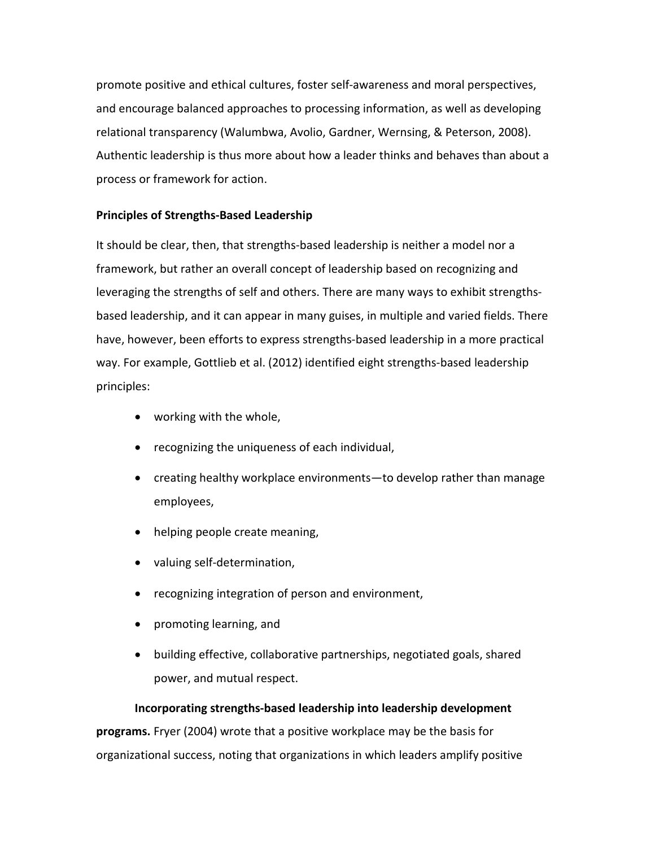promote positive and ethical cultures, foster self-awareness and moral perspectives, and encourage balanced approaches to processing information, as well as developing relational transparency (Walumbwa, Avolio, Gardner, Wernsing, & Peterson, 2008). Authentic leadership is thus more about how a leader thinks and behaves than about a process or framework for action.

# **Principles of Strengths-Based Leadership**

It should be clear, then, that strengths-based leadership is neither a model nor a framework, but rather an overall concept of leadership based on recognizing and leveraging the strengths of self and others. There are many ways to exhibit strengthsbased leadership, and it can appear in many guises, in multiple and varied fields. There have, however, been efforts to express strengths-based leadership in a more practical way. For example, Gottlieb et al. (2012) identified eight strengths-based leadership principles:

- working with the whole,
- recognizing the uniqueness of each individual,
- creating healthy workplace environments—to develop rather than manage employees,
- helping people create meaning,
- valuing self-determination,
- recognizing integration of person and environment,
- promoting learning, and
- building effective, collaborative partnerships, negotiated goals, shared power, and mutual respect.

# **Incorporating strengths-based leadership into leadership development**

**programs.** Fryer (2004) wrote that a positive workplace may be the basis for organizational success, noting that organizations in which leaders amplify positive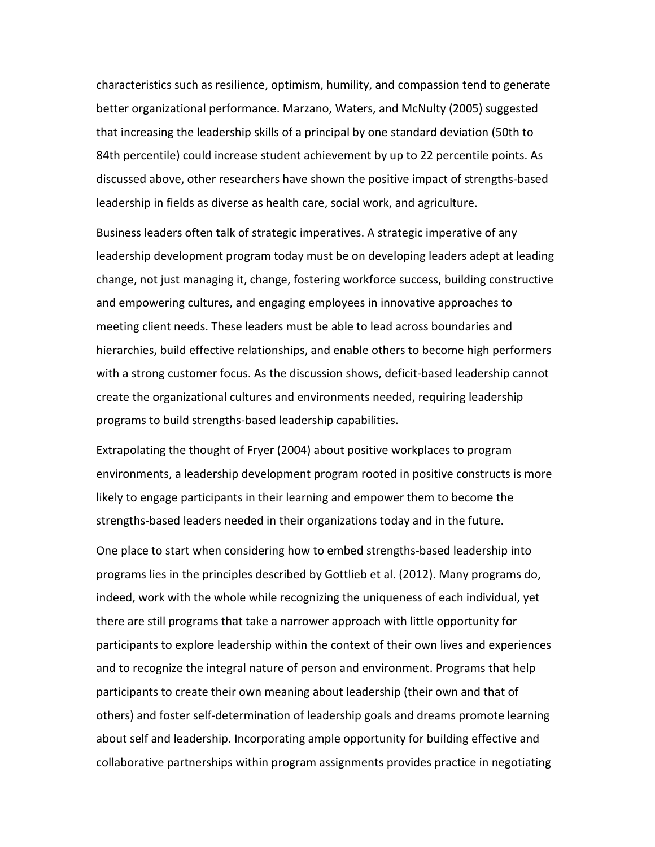characteristics such as resilience, optimism, humility, and compassion tend to generate better organizational performance. Marzano, Waters, and McNulty (2005) suggested that increasing the leadership skills of a principal by one standard deviation (50th to 84th percentile) could increase student achievement by up to 22 percentile points. As discussed above, other researchers have shown the positive impact of strengths-based leadership in fields as diverse as health care, social work, and agriculture.

Business leaders often talk of strategic imperatives. A strategic imperative of any leadership development program today must be on developing leaders adept at leading change, not just managing it, change, fostering workforce success, building constructive and empowering cultures, and engaging employees in innovative approaches to meeting client needs. These leaders must be able to lead across boundaries and hierarchies, build effective relationships, and enable others to become high performers with a strong customer focus. As the discussion shows, deficit-based leadership cannot create the organizational cultures and environments needed, requiring leadership programs to build strengths-based leadership capabilities.

Extrapolating the thought of Fryer (2004) about positive workplaces to program environments, a leadership development program rooted in positive constructs is more likely to engage participants in their learning and empower them to become the strengths-based leaders needed in their organizations today and in the future.

One place to start when considering how to embed strengths-based leadership into programs lies in the principles described by Gottlieb et al. (2012). Many programs do, indeed, work with the whole while recognizing the uniqueness of each individual, yet there are still programs that take a narrower approach with little opportunity for participants to explore leadership within the context of their own lives and experiences and to recognize the integral nature of person and environment. Programs that help participants to create their own meaning about leadership (their own and that of others) and foster self-determination of leadership goals and dreams promote learning about self and leadership. Incorporating ample opportunity for building effective and collaborative partnerships within program assignments provides practice in negotiating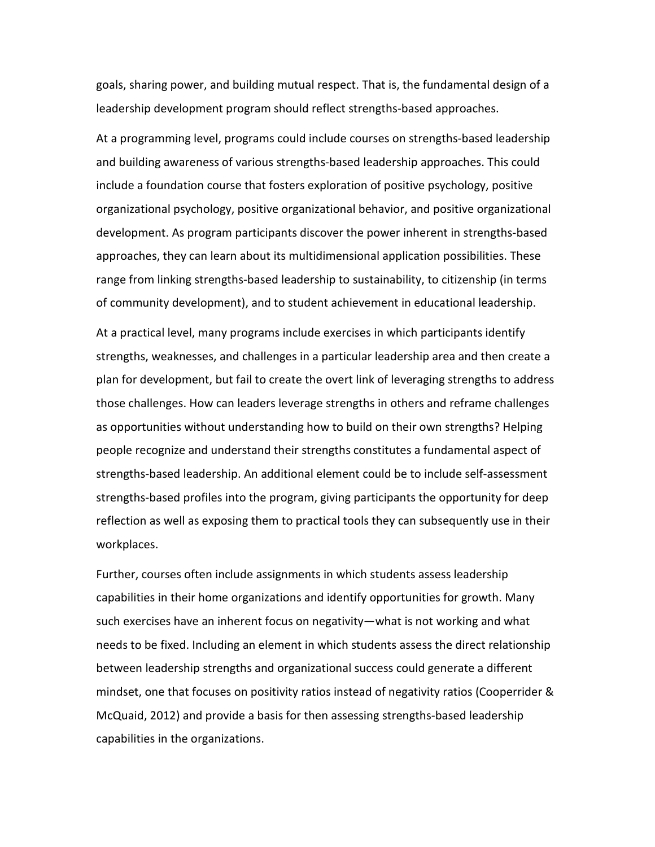goals, sharing power, and building mutual respect. That is, the fundamental design of a leadership development program should reflect strengths-based approaches.

At a programming level, programs could include courses on strengths-based leadership and building awareness of various strengths-based leadership approaches. This could include a foundation course that fosters exploration of positive psychology, positive organizational psychology, positive organizational behavior, and positive organizational development. As program participants discover the power inherent in strengths-based approaches, they can learn about its multidimensional application possibilities. These range from linking strengths-based leadership to sustainability, to citizenship (in terms of community development), and to student achievement in educational leadership.

At a practical level, many programs include exercises in which participants identify strengths, weaknesses, and challenges in a particular leadership area and then create a plan for development, but fail to create the overt link of leveraging strengths to address those challenges. How can leaders leverage strengths in others and reframe challenges as opportunities without understanding how to build on their own strengths? Helping people recognize and understand their strengths constitutes a fundamental aspect of strengths-based leadership. An additional element could be to include self-assessment strengths-based profiles into the program, giving participants the opportunity for deep reflection as well as exposing them to practical tools they can subsequently use in their workplaces.

Further, courses often include assignments in which students assess leadership capabilities in their home organizations and identify opportunities for growth. Many such exercises have an inherent focus on negativity—what is not working and what needs to be fixed. Including an element in which students assess the direct relationship between leadership strengths and organizational success could generate a different mindset, one that focuses on positivity ratios instead of negativity ratios (Cooperrider & McQuaid, 2012) and provide a basis for then assessing strengths-based leadership capabilities in the organizations.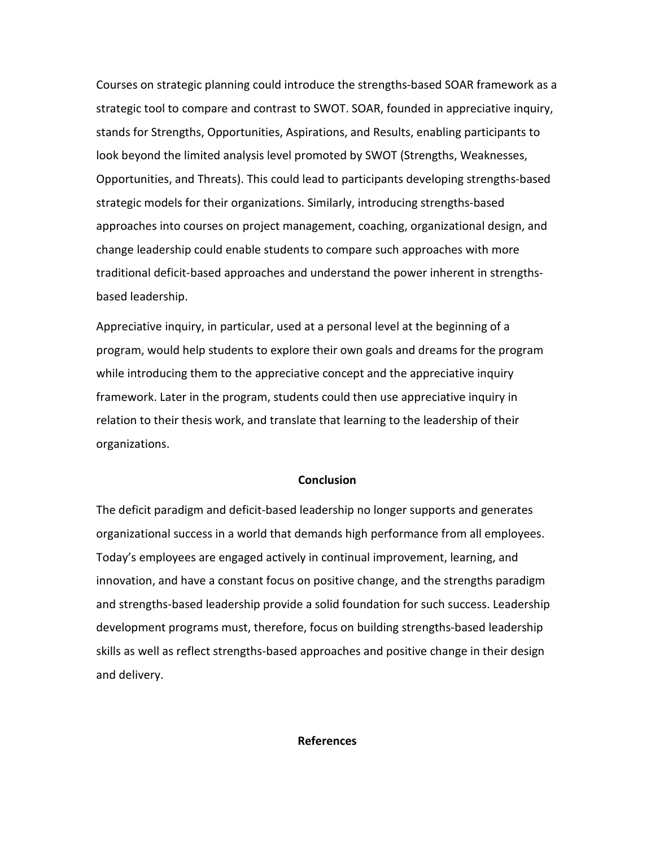Courses on strategic planning could introduce the strengths-based SOAR framework as a strategic tool to compare and contrast to SWOT. SOAR, founded in appreciative inquiry, stands for Strengths, Opportunities, Aspirations, and Results, enabling participants to look beyond the limited analysis level promoted by SWOT (Strengths, Weaknesses, Opportunities, and Threats). This could lead to participants developing strengths-based strategic models for their organizations. Similarly, introducing strengths-based approaches into courses on project management, coaching, organizational design, and change leadership could enable students to compare such approaches with more traditional deficit-based approaches and understand the power inherent in strengthsbased leadership.

Appreciative inquiry, in particular, used at a personal level at the beginning of a program, would help students to explore their own goals and dreams for the program while introducing them to the appreciative concept and the appreciative inquiry framework. Later in the program, students could then use appreciative inquiry in relation to their thesis work, and translate that learning to the leadership of their organizations.

### **Conclusion**

The deficit paradigm and deficit-based leadership no longer supports and generates organizational success in a world that demands high performance from all employees. Today's employees are engaged actively in continual improvement, learning, and innovation, and have a constant focus on positive change, and the strengths paradigm and strengths-based leadership provide a solid foundation for such success. Leadership development programs must, therefore, focus on building strengths-based leadership skills as well as reflect strengths-based approaches and positive change in their design and delivery.

### **References**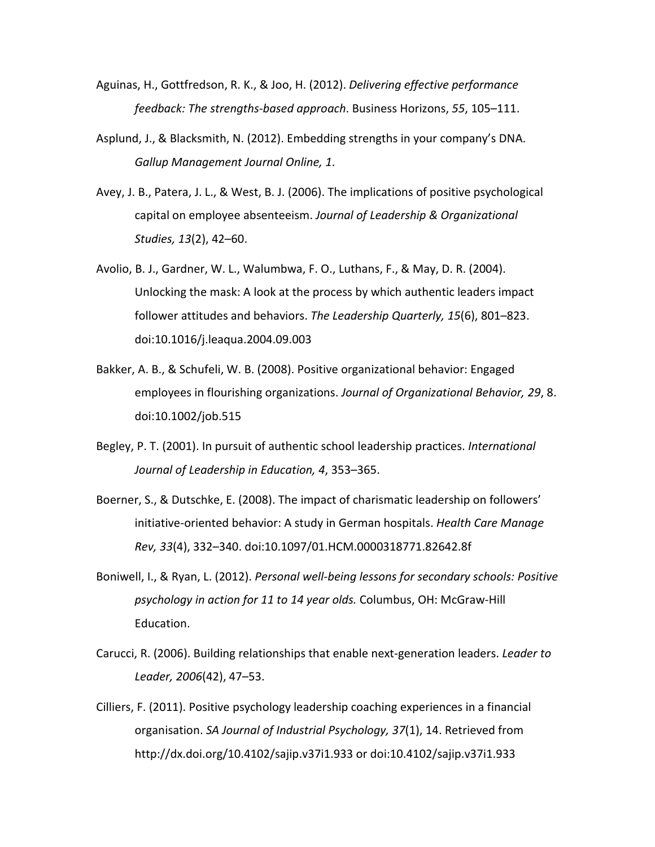- Aguinas, H., Gottfredson, R. K., & Joo, H. (2012). *Delivering effective performance feedback: The strengths-based approach*. Business Horizons, *55*, 105–111.
- Asplund, J., & Blacksmith, N. (2012). Embedding strengths in your company's DNA. *Gallup Management Journal Online, 1*.
- Avey, J. B., Patera, J. L., & West, B. J. (2006). The implications of positive psychological capital on employee absenteeism. *Journal of Leadership & Organizational Studies, 13*(2), 42–60.
- Avolio, B. J., Gardner, W. L., Walumbwa, F. O., Luthans, F., & May, D. R. (2004). Unlocking the mask: A look at the process by which authentic leaders impact follower attitudes and behaviors. *The Leadership Quarterly, 15*(6), 801–823. doi:10.1016/j.leaqua.2004.09.003
- Bakker, A. B., & Schufeli, W. B. (2008). Positive organizational behavior: Engaged employees in flourishing organizations. *Journal of Organizational Behavior, 29*, 8. doi:10.1002/job.515
- Begley, P. T. (2001). In pursuit of authentic school leadership practices. *International Journal of Leadership in Education, 4*, 353–365.
- Boerner, S., & Dutschke, E. (2008). The impact of charismatic leadership on followers' initiative-oriented behavior: A study in German hospitals. *Health Care Manage Rev, 33*(4), 332–340. doi:10.1097/01.HCM.0000318771.82642.8f
- Boniwell, I., & Ryan, L. (2012). *Personal well-being lessons for secondary schools: Positive psychology in action for 11 to 14 year olds.* Columbus, OH: McGraw-Hill Education.
- Carucci, R. (2006). Building relationships that enable next-generation leaders. *Leader to Leader, 2006*(42), 47–53.
- Cilliers, F. (2011). Positive psychology leadership coaching experiences in a financial organisation. *SA Journal of Industrial Psychology, 37*(1), 14. Retrieved from http://dx.doi.org/10.4102/sajip.v37i1.933 or doi:10.4102/sajip.v37i1.933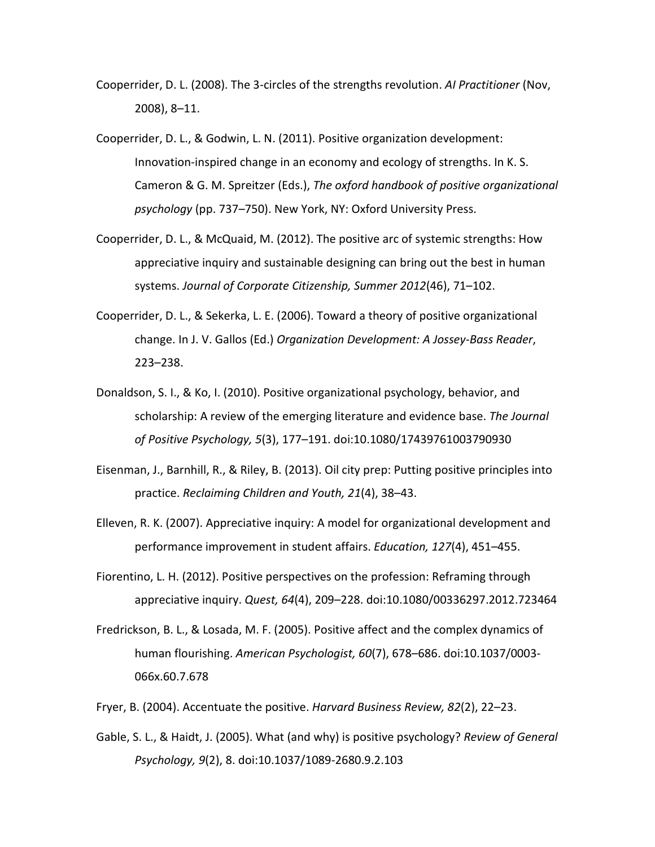- Cooperrider, D. L. (2008). The 3-circles of the strengths revolution. *AI Practitioner* (Nov, 2008), 8–11.
- Cooperrider, D. L., & Godwin, L. N. (2011). Positive organization development: Innovation-inspired change in an economy and ecology of strengths. In K. S. Cameron & G. M. Spreitzer (Eds.), *The oxford handbook of positive organizational psychology* (pp. 737–750). New York, NY: Oxford University Press.
- Cooperrider, D. L., & McQuaid, M. (2012). The positive arc of systemic strengths: How appreciative inquiry and sustainable designing can bring out the best in human systems. *Journal of Corporate Citizenship, Summer 2012*(46), 71–102.
- Cooperrider, D. L., & Sekerka, L. E. (2006). Toward a theory of positive organizational change. In J. V. Gallos (Ed.) *Organization Development: A Jossey-Bass Reader*, 223–238.
- Donaldson, S. I., & Ko, I. (2010). Positive organizational psychology, behavior, and scholarship: A review of the emerging literature and evidence base. *The Journal of Positive Psychology, 5*(3), 177–191. doi:10.1080/17439761003790930
- Eisenman, J., Barnhill, R., & Riley, B. (2013). Oil city prep: Putting positive principles into practice. *Reclaiming Children and Youth, 21*(4), 38–43.
- Elleven, R. K. (2007). Appreciative inquiry: A model for organizational development and performance improvement in student affairs. *Education, 127*(4), 451–455.
- Fiorentino, L. H. (2012). Positive perspectives on the profession: Reframing through appreciative inquiry. *Quest, 64*(4), 209–228. doi:10.1080/00336297.2012.723464
- Fredrickson, B. L., & Losada, M. F. (2005). Positive affect and the complex dynamics of human flourishing. *American Psychologist, 60*(7), 678–686. doi:10.1037/0003- 066x.60.7.678
- Fryer, B. (2004). Accentuate the positive. *Harvard Business Review, 82*(2), 22–23.
- Gable, S. L., & Haidt, J. (2005). What (and why) is positive psychology? *Review of General Psychology, 9*(2), 8. doi:10.1037/1089-2680.9.2.103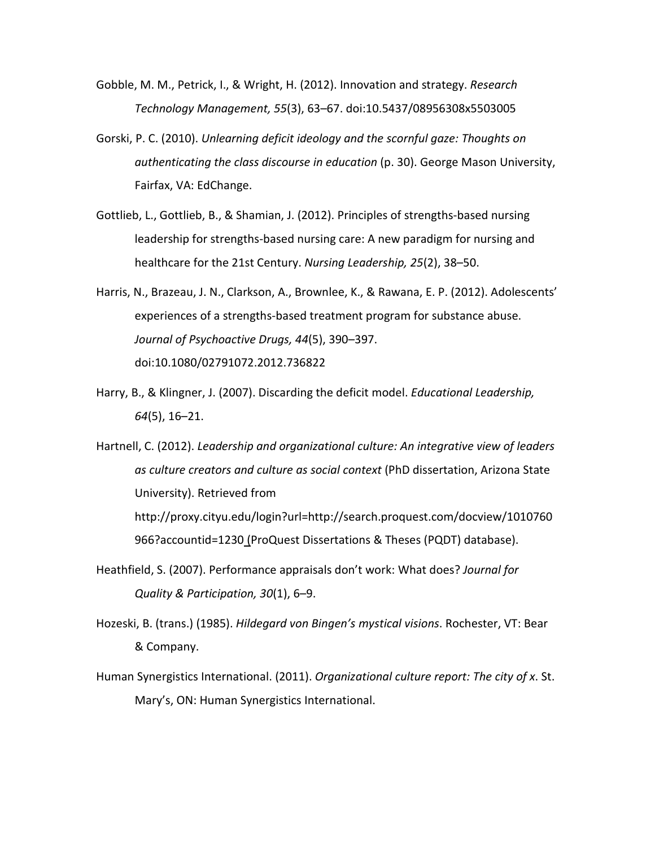- Gobble, M. M., Petrick, I., & Wright, H. (2012). Innovation and strategy. *Research Technology Management, 55*(3), 63–67. doi:10.5437/08956308x5503005
- Gorski, P. C. (2010). *Unlearning deficit ideology and the scornful gaze: Thoughts on authenticating the class discourse in education* (p. 30). George Mason University, Fairfax, VA: EdChange.
- Gottlieb, L., Gottlieb, B., & Shamian, J. (2012). Principles of strengths-based nursing leadership for strengths-based nursing care: A new paradigm for nursing and healthcare for the 21st Century. *Nursing Leadership, 25*(2), 38–50.
- Harris, N., Brazeau, J. N., Clarkson, A., Brownlee, K., & Rawana, E. P. (2012). Adolescents' experiences of a strengths-based treatment program for substance abuse. *Journal of Psychoactive Drugs, 44*(5), 390–397. doi:10.1080/02791072.2012.736822
- Harry, B., & Klingner, J. (2007). Discarding the deficit model. *Educational Leadership, 64*(5), 16–21.
- Hartnell, C. (2012). *Leadership and organizational culture: An integrative view of leaders as culture creators and culture as social context* (PhD dissertation, Arizona State University). Retrieved from http://proxy.cityu.edu/login?url=http://search.proquest.com/docview/1010760 966?accountid=1230 (ProQuest Dissertations & Theses (PQDT) database).
- Heathfield, S. (2007). Performance appraisals don't work: What does? *Journal for Quality & Participation, 30*(1), 6–9.
- Hozeski, B. (trans.) (1985). *Hildegard von Bingen's mystical visions*. Rochester, VT: Bear & Company.
- Human Synergistics International. (2011). *Organizational culture report: The city of x*. St. Mary's, ON: Human Synergistics International.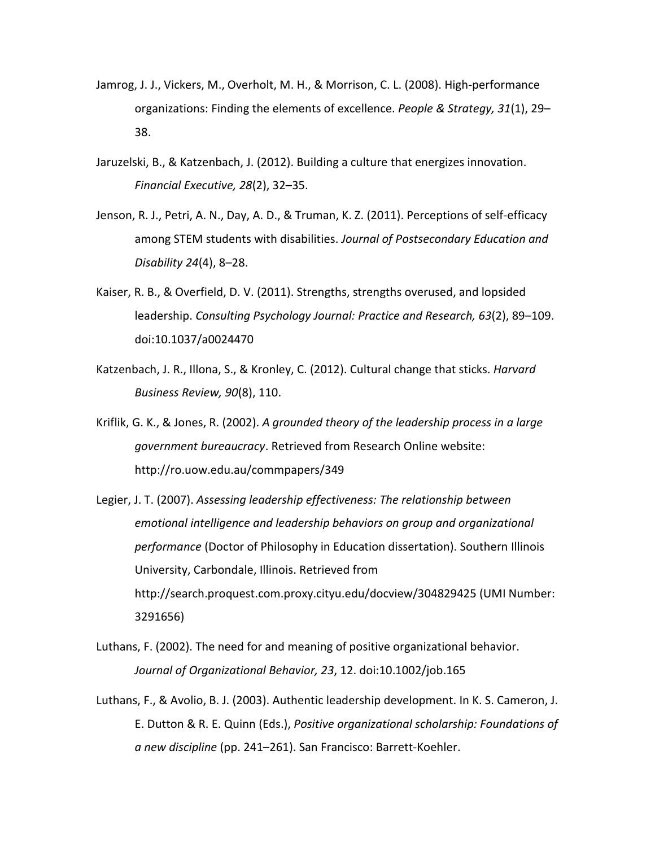- Jamrog, J. J., Vickers, M., Overholt, M. H., & Morrison, C. L. (2008). High-performance organizations: Finding the elements of excellence. *People & Strategy, 31*(1), 29– 38.
- Jaruzelski, B., & Katzenbach, J. (2012). Building a culture that energizes innovation. *Financial Executive, 28*(2), 32–35.
- Jenson, R. J., Petri, A. N., Day, A. D., & Truman, K. Z. (2011). Perceptions of self-efficacy among STEM students with disabilities. *Journal of Postsecondary Education and Disability 24*(4), 8–28.
- Kaiser, R. B., & Overfield, D. V. (2011). Strengths, strengths overused, and lopsided leadership. *Consulting Psychology Journal: Practice and Research, 63*(2), 89–109. doi:10.1037/a0024470
- Katzenbach, J. R., Illona, S., & Kronley, C. (2012). Cultural change that sticks. *Harvard Business Review, 90*(8), 110.
- Kriflik, G. K., & Jones, R. (2002). *A grounded theory of the leadership process in a large government bureaucracy*. Retrieved from Research Online website: <http://ro.uow.edu.au/commpapers/349>
- Legier, J. T. (2007). *Assessing leadership effectiveness: The relationship between emotional intelligence and leadership behaviors on group and organizational performance* (Doctor of Philosophy in Education dissertation). Southern Illinois University, Carbondale, Illinois. Retrieved from http://search.proquest.com.proxy.cityu.edu/docview/304829425 (UMI Number: 3291656)
- Luthans, F. (2002). The need for and meaning of positive organizational behavior. *Journal of Organizational Behavior, 23*, 12. doi:10.1002/job.165
- Luthans, F., & Avolio, B. J. (2003). Authentic leadership development. In K. S. Cameron, J. E. Dutton & R. E. Quinn (Eds.), *Positive organizational scholarship: Foundations of a new discipline* (pp. 241–261). San Francisco: Barrett-Koehler.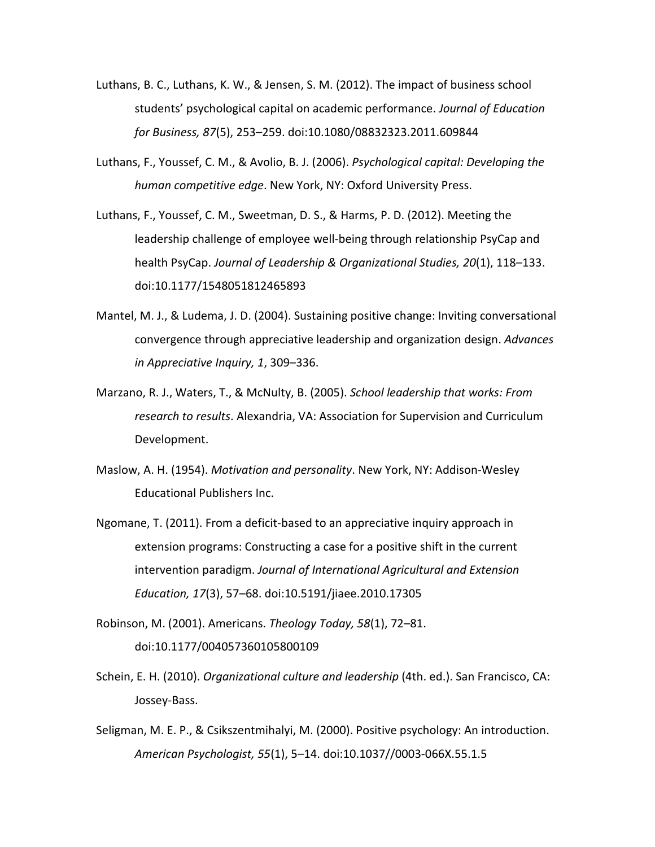- Luthans, B. C., Luthans, K. W., & Jensen, S. M. (2012). The impact of business school students' psychological capital on academic performance. *Journal of Education for Business, 87*(5), 253–259. doi:10.1080/08832323.2011.609844
- Luthans, F., Youssef, C. M., & Avolio, B. J. (2006). *Psychological capital: Developing the human competitive edge*. New York, NY: Oxford University Press.
- Luthans, F., Youssef, C. M., Sweetman, D. S., & Harms, P. D. (2012). Meeting the leadership challenge of employee well-being through relationship PsyCap and health PsyCap. *Journal of Leadership & Organizational Studies, 20*(1), 118–133. doi:10.1177/1548051812465893
- Mantel, M. J., & Ludema, J. D. (2004). Sustaining positive change: Inviting conversational convergence through appreciative leadership and organization design. *Advances in Appreciative Inquiry, 1*, 309–336.
- Marzano, R. J., Waters, T., & McNulty, B. (2005). *School leadership that works: From research to results*. Alexandria, VA: Association for Supervision and Curriculum Development.
- Maslow, A. H. (1954). *Motivation and personality*. New York, NY: Addison-Wesley Educational Publishers Inc.
- Ngomane, T. (2011). From a deficit-based to an appreciative inquiry approach in extension programs: Constructing a case for a positive shift in the current intervention paradigm. *Journal of International Agricultural and Extension Education, 17*(3), 57–68. doi:10.5191/jiaee.2010.17305
- Robinson, M. (2001). Americans. *Theology Today, 58*(1), 72–81. doi:10.1177/004057360105800109
- Schein, E. H. (2010). *Organizational culture and leadership* (4th. ed.). San Francisco, CA: Jossey-Bass.
- Seligman, M. E. P., & Csikszentmihalyi, M. (2000). Positive psychology: An introduction. *American Psychologist, 55*(1), 5–14. doi:10.1037//0003-066X.55.1.5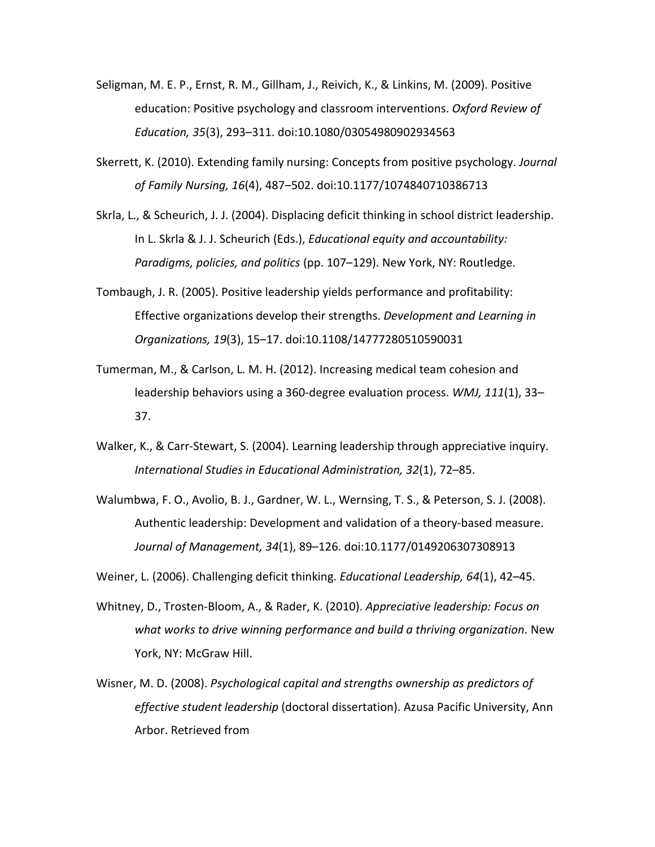- Seligman, M. E. P., Ernst, R. M., Gillham, J., Reivich, K., & Linkins, M. (2009). Positive education: Positive psychology and classroom interventions. *Oxford Review of Education, 35*(3), 293–311. doi:10.1080/03054980902934563
- Skerrett, K. (2010). Extending family nursing: Concepts from positive psychology. *Journal of Family Nursing, 16*(4), 487–502. doi:10.1177/1074840710386713
- Skrla, L., & Scheurich, J. J. (2004). Displacing deficit thinking in school district leadership. In L. Skrla & J. J. Scheurich (Eds.), *Educational equity and accountability: Paradigms, policies, and politics* (pp. 107–129). New York, NY: Routledge.
- Tombaugh, J. R. (2005). Positive leadership yields performance and profitability: Effective organizations develop their strengths. *Development and Learning in Organizations, 19*(3), 15–17. doi:10.1108/14777280510590031
- Tumerman, M., & Carlson, L. M. H. (2012). Increasing medical team cohesion and leadership behaviors using a 360-degree evaluation process. *WMJ, 111*(1), 33– 37.
- Walker, K., & Carr-Stewart, S. (2004). Learning leadership through appreciative inquiry. *International Studies in Educational Administration, 32*(1), 72–85.
- Walumbwa, F. O., Avolio, B. J., Gardner, W. L., Wernsing, T. S., & Peterson, S. J. (2008). Authentic leadership: Development and validation of a theory-based measure. *Journal of Management, 34*(1), 89–126. doi:10.1177/0149206307308913
- Weiner, L. (2006). Challenging deficit thinking. *Educational Leadership, 64*(1), 42–45.
- Whitney, D., Trosten-Bloom, A., & Rader, K. (2010). *Appreciative leadership: Focus on what works to drive winning performance and build a thriving organization*. New York, NY: McGraw Hill.
- Wisner, M. D. (2008). *Psychological capital and strengths ownership as predictors of effective student leadership* (doctoral dissertation). Azusa Pacific University, Ann Arbor. Retrieved from